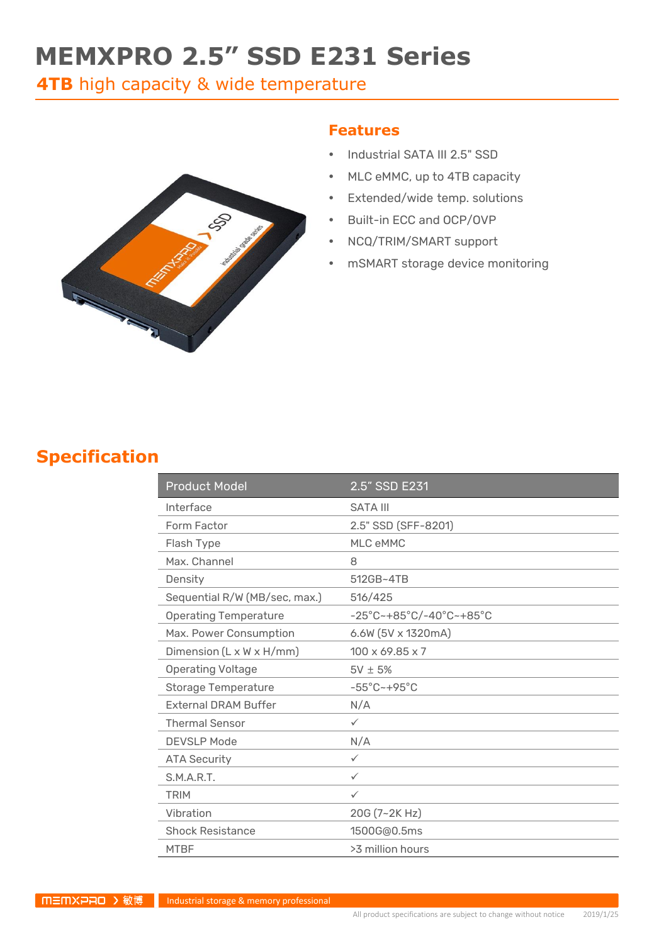# **MEMXPRO 2.5" SSD E231 Series**

**4TB** high capacity & wide temperature



#### **Features**

- Industrial SATA III 2.5" SSD
- MLC eMMC, up to 4TB capacity
- Extended/wide temp. solutions
- Built-in ECC and OCP/OVP
- NCQ/TRIM/SMART support
- mSMART storage device monitoring

### **Specification**

| <b>Product Model</b>          | 2.5" SSD E231                                                      |
|-------------------------------|--------------------------------------------------------------------|
| Interface                     | <b>SATA III</b>                                                    |
| Form Factor                   | 2.5" SSD (SFF-8201)                                                |
| Flash Type                    | MLC eMMC                                                           |
| Max. Channel                  | 8                                                                  |
| Density                       | 512GB~4TB                                                          |
| Sequential R/W (MB/sec, max.) | 516/425                                                            |
| <b>Operating Temperature</b>  | $-25^{\circ}$ C~+85 $^{\circ}$ C/-40 $^{\circ}$ C~+85 $^{\circ}$ C |
| Max. Power Consumption        | 6.6W (5V x 1320mA)                                                 |
| Dimension (L x W x H/mm)      | $100 \times 69.85 \times 7$                                        |
| <b>Operating Voltage</b>      | $5V \pm 5%$                                                        |
| <b>Storage Temperature</b>    | $-55^{\circ}$ C ~ +95 $^{\circ}$ C                                 |
| <b>External DRAM Buffer</b>   | N/A                                                                |
| <b>Thermal Sensor</b>         | $\checkmark$                                                       |
| <b>DEVSLP Mode</b>            | N/A                                                                |
| <b>ATA Security</b>           | $\checkmark$                                                       |
| S.M.A.R.T.                    | $\checkmark$                                                       |
| <b>TRIM</b>                   | $\checkmark$                                                       |
| Vibration                     | 20G (7~2K Hz)                                                      |
| <b>Shock Resistance</b>       | 1500G@0.5ms                                                        |
| <b>MTBF</b>                   | >3 million hours                                                   |